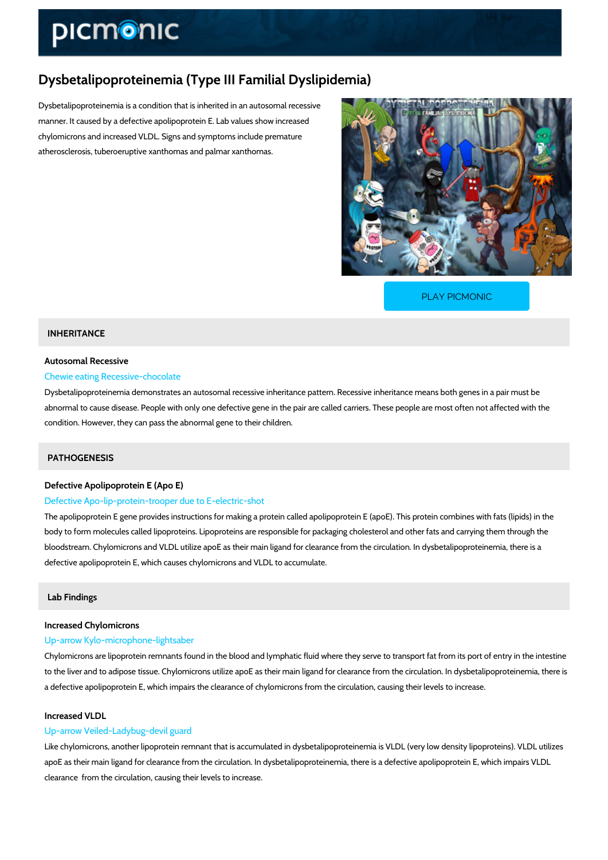# Dysbetalipoproteinemia (Type III Familial Dyslipidemia)

Dysbetalipoproteinemia is a condition that is inherited in an autosomal recessive manner. It caused by a defective apolipoprotein E. Lab values show increased chylomicrons and increased VLDL. Signs and symptoms include premature atherosclerosis, tuberoeruptive xanthomas and palmar xanthomas.

[PLAY PICMONIC](https://www.picmonic.com/learn/dysbetalipoproteinemia-type-iii-familial-dyslipidemia_50017?utm_source=downloadable_content&utm_medium=distributedcontent&utm_campaign=pathways_pdf&utm_content=Dysbetalipoproteinemia (Type III Familial Dyslipidemia)&utm_ad_group=leads&utm_market=all)

# INHERITANCE

## Autosomal Recessive

## Chewie eating Recessive-chocolate

Dysbetalipoproteinemia demonstrates an autosomal recessive inheritance pattern. Recessive i abnormal to cause disease. People with only one defective gene in the pair are called carriers condition. However, they can pass the abnormal gene to their children.

# PATHOGENESIS

## Defective Apolipoprotein E (Apo E)

## Defective Apo-lip-protein-trooper due to E-electric-shot

The apolipoprotein E gene provides instructions for making a protein called apolipoprotein E  $\overline{a}$ body to form molecules called lipoproteins. Lipoproteins are responsible for packaging choles bloodstream. Chylomicrons and VLDL utilize apoE as their main ligand for clearance from the defective apolipoprotein E, which causes chylomicrons and VLDL to accumulate.

## Lab Findings

# Increased Chylomicrons

### Up-arrow Kylo-microphone-lightsaber

Chylomicrons are lipoprotein remnants found in the blood and lymphatic fluid where they serve to the liver and to adipose tissue. Chylomicrons utilize apoE as their main ligand for clearanc a defective apolipoprotein E, which impairs the clearance of chylomicrons from the circulation

# Increased VLDL

## Up-arrow Veiled-Ladybug-devil guard

Like chylomicrons, another lipoprotein remnant that is accumulated in dysbetalipoproteinemia apoE as their main ligand for clearance from the circulation. In dysbetalipoproteinemia, there clearance from the circulation, causing their levels to increase.